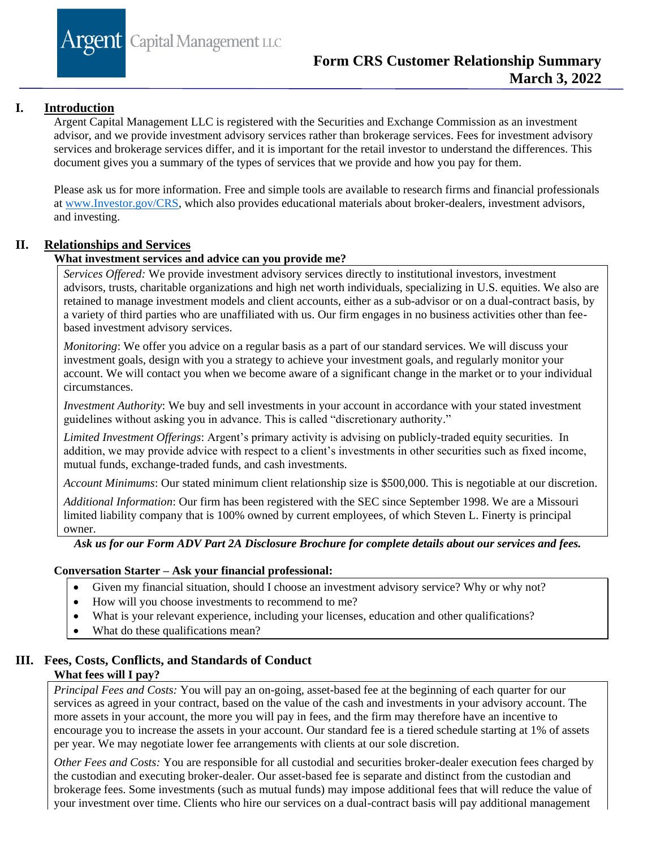**Argent** Capital Management LLC

# **I. Introduction**

Argent Capital Management LLC is registered with the Securities and Exchange Commission as an investment advisor, and we provide investment advisory services rather than brokerage services. Fees for investment advisory services and brokerage services differ, and it is important for the retail investor to understand the differences. This document gives you a summary of the types of services that we provide and how you pay for them.

Please ask us for more information. Free and simple tools are available to research firms and financial professionals at [www.Investor.gov/CRS,](http://www.investor.gov/CRS) which also provides educational materials about broker-dealers, investment advisors, and investing.

# **II. Relationships and Services**

### **What investment services and advice can you provide me?**

*Services Offered:* We provide investment advisory services directly to institutional investors, investment advisors, trusts, charitable organizations and high net worth individuals, specializing in U.S. equities. We also are retained to manage investment models and client accounts, either as a sub-advisor or on a dual-contract basis, by a variety of third parties who are unaffiliated with us. Our firm engages in no business activities other than feebased investment advisory services.

*Monitoring*: We offer you advice on a regular basis as a part of our standard services. We will discuss your investment goals, design with you a strategy to achieve your investment goals, and regularly monitor your account. We will contact you when we become aware of a significant change in the market or to your individual circumstances.

*Investment Authority*: We buy and sell investments in your account in accordance with your stated investment guidelines without asking you in advance. This is called "discretionary authority."

*Limited Investment Offerings*: Argent's primary activity is advising on publicly-traded equity securities. In addition, we may provide advice with respect to a client's investments in other securities such as fixed income, mutual funds, exchange-traded funds, and cash investments.

*Account Minimums*: Our stated minimum client relationship size is \$500,000. This is negotiable at our discretion.

*Additional Information*: Our firm has been registered with the SEC since September 1998. We are a Missouri limited liability company that is 100% owned by current employees, of which Steven L. Finerty is principal owner.

### *Ask us for our Form ADV Part 2A Disclosure Brochure for complete details about our services and fees.*

#### **Conversation Starter – Ask your financial professional:**

- Given my financial situation, should I choose an investment advisory service? Why or why not?
- How will you choose investments to recommend to me?
- What is your relevant experience, including your licenses, education and other qualifications?
- What do these qualifications mean?

# **III. Fees, Costs, Conflicts, and Standards of Conduct What fees will I pay?**

*Principal Fees and Costs:* You will pay an on-going, asset-based fee at the beginning of each quarter for our services as agreed in your contract, based on the value of the cash and investments in your advisory account. The more assets in your account, the more you will pay in fees, and the firm may therefore have an incentive to encourage you to increase the assets in your account. Our standard fee is a tiered schedule starting at 1% of assets per year. We may negotiate lower fee arrangements with clients at our sole discretion.

*Other Fees and Costs:* You are responsible for all custodial and securities broker-dealer execution fees charged by the custodian and executing broker-dealer. Our asset-based fee is separate and distinct from the custodian and brokerage fees. Some investments (such as mutual funds) may impose additional fees that will reduce the value of your investment over time. Clients who hire our services on a dual-contract basis will pay additional management